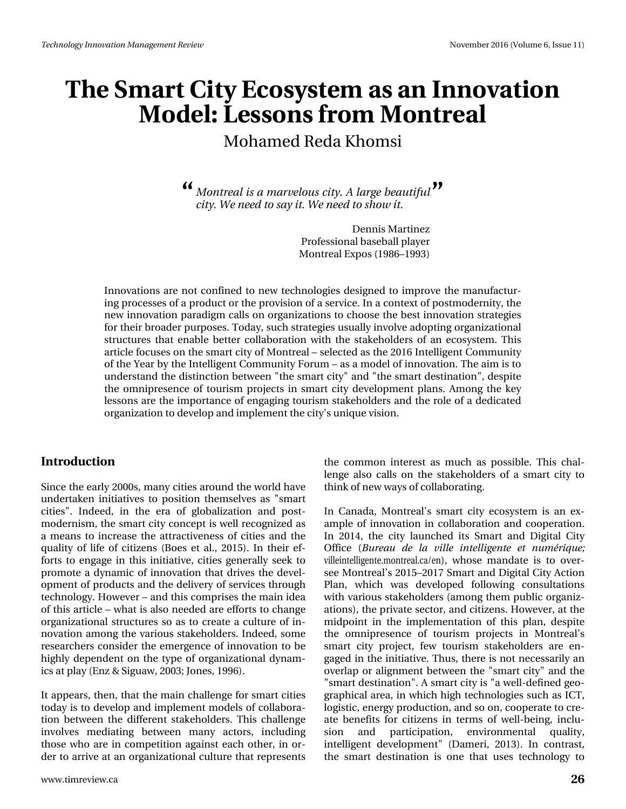# Wikh#Vp duw#Flw|#Hfrv|whp #dv#dq#Lqqrydwlrq P r gho#Chwr gv#ur p #P r gwindo

Prkdphq#Jhqd#Nkrpvl

< Prqwundo#v#d#pduyhorxv#lw|#D#dujh#ehdxwixo#TM flw/th 2 http://html/tw/ttxdl#with2 http://html/tw/ttk.rz#witt

> Ghaqlv#P duwigh} Sur i hvvl r qddedvhedads ad| hu Prqw.hdd + \f \, \, sr v#4 <; 9' 4 << 6,

Lqqrydwlrqv#duh#qrw#frqilqhg#wr#qhz#whfkqrorjlhv#qhvljqhg#wr#lpsuryh#wkh#pdqxidfwxu0 lqj#surfh∨vhv#ii#d#surgxfw#u#wkh#surylvlrq#ti#d#vhuylfh1#Lq#d#frqwh{w#ti#srvwprghuqlw|/#wkh# qhz #qqrydwlrq#sdudgljp#doov#rq#rujdql}dwlrqv#wr#ikrrvh#wkh#ehvw#qqrydwlrq#ww.dwhjlhv# iru#wk.hlu#eurdghu#sxusrvhv1#Wrgd|/#vxfk#ww.dwhjlhv#kvxdool#qyroyh#dgrswlqj#rujdql}dwlrgdd# ww.xfwx.uhv#wk.dw#hqde.oh#e.hwwhu#frooderudwlrq#zlwk.#wk.h#wodnhkroghuv#ri#dq#hfrv|wwhp1#Wklv# duwlfoh#rfxvhv#q#wkh#vpduw#lw|#i#Prqwuhdo##vhohfwhq#dv#wkh#5349#Lqwhooljhqw#Frppxqlw|# ri#wkh#khdu#e|#wkh#Lqwhooljhqw#Frppxqlw|#lruxp# #dv#d#prgho#ri#lqqrydwlrq1#Mkh#dlp#lv#wr# xqghuwdqg#wkh#glwwqfwlrq#ehwzhhq#%wkh#vpduw#llw|%#dqg#%wkh#vpduw#ghwwqdwlrq%/#ghvslwh# wk.h#rpqlsuhvhqfh#ri#wrxulvp#surmhfww#lq#vpduw#flw|#ghyhorsphqw#sodqv1#Dprqj#wk.h#nh|# dn vr gv#duh#wkh#lpsruvdqfh#li#hqjdjlqj#wrxulvp#vvdnhkroghuv#dqg#wkh#urdn#li#d#ghqlfdwhq# rujdql}dwlrq#wr#ghyhors#dqg#lpsohphqw#wkh#flw|Šv#xqltxh#ylvlrq1

#### Lawer  $q \times f$  where  $q \#$

Mqf h#wk h#hdud #5333v/#p dq|#lwhv#dur xqg#wk h#z ruog#kdyh# xqqhuvdnhq#qlvldvlyhv#vr#srvlvlrq#vkhpvhoyhv#dv#%rpduv# flwhv%#Lqghhg/#lq#wkh#hud#ri#joredd}dwrq#dqg#srvw0 prghuglyp/#wkh#ypduw#lw|#frgfhsw#v#zhoo#uhfrjgl}hg#dv# d#p hdqv#wr#qfuhdvh#wkh#dwwdfwlyhqhvv#ri#flwlhv#dqg#wkh# t x dolw| #ri#olih #ri#flwl}h qv#+Erhv#hw#do1/#5348,1#Lq#wk hlu#hi0 ir uw#wr#hqjdjh#lq#wklv#lqlwldwlyh/#flwlhv#jhqhudool#vhhn#wr# surp rwh#d#g|qdp lf#ri#lqqrydwlrq#wkdw#gulyhv#wkh#ghyho0 rsphqw#i#surgxfw#dqg#wkh#gholyhu|#ri#vhuylfhv#wkurxjk# whikqroril 14Krzhyhu##dqg#wklv#frpsulvhv#wkh#pdlq#ghd# ri#wklv#duwfdn##z kdw#v#dovr#qhhqhq#duh#hiiruw#wr#fkdqjh# rujdgl}dwir gdo#wux fwx uhv#vr#dv#wr#fuhdwh#d#fxows uh#ri#lg0 qrydw'r q#dprqj#wkh#ydulrxv#wodnhkroghuv\*#Lqghhg/#vrph# uhvhduf khuv#frqvlghu#wkh#hphujhqfh#ri#qqrydwlrq#wr#eh# kljkoj#ghshqghqw#rq#wkh#wjsh#ri#rujdql}dwhrqdo#g|qdp0 If v#dwstod|#Hq}#j#Mjxdz/#5336x#Mqhv/#4<<9,1

Luktuls sholuv/#wk.hq/#wk.dv#wk.h#pdlq#fk.doohqjh#ru#vpduw#llw.hv# wrigd #v#wr#ghyhors#dqg#psohphqw#prghov#ri#frooderud0 wtrq#ehwzhhq#wkh#gliihuhqw#wodnhkroghuv1#Wklv#fkdoohqjh#  $\frac{1}{2}$  lqyr oyhv#p hgldwgj#ehwz hhq#p dq|#dfwr w/#lqfoxglqj# wkrvh#zkr#duh#lq#frpshwlwrq#djdlqvw#hdfk#rwkhu/#lq#ru0 ghu#w #duulyh#dw#dq# ujdql}dwlr qdd#xowx uh#wkdw#uhs uhvhqw#

wkh#frpprq#lqwhuhw#dv#pxfk#dv#srwledn1#Wklv#fkdo0 dhqi h#dovr#fdoov#rq#wkh#vvdnhkroghuv#ri#d#vpduw#flwl#wr# wklqn#i#qhz#zd|v#i#frooderudwlqj1#

Lq#Fdqdgd/#PrqwthdoSy#vpdw#flw/#hfrv|whp#lv#dq#h{0 dpsoh#ri#lqqrydwlrq#lq#frooderudwlrq#dqg#frrshudwlrq1# Lq#5347/#wkh#flw|#odxqfkhg#lw#Vpduw#dqg#Gljlwdc#Flw Riilfh#+Exuhdx#gh#od#ylooh#lqwhooljhqwh#hw#qxpABtxh⊳ ylochlqwhoolj hqwh p r qwchdofd 2hq, /#z k r vh#p dqgdwh#lv#wr#r yhu0 vhh#P r qwuhdo\*v#5348' 534: #Vp duw#dqg#Glj lwdd#Flw|#Dfwlr q# Sodq/#zklfk#zdv#ghyhorshg#iroorzlqj#frqvxowdwlrqv# z lwk#ydulrxv#wodnhkroghuv#+dprqj#wkhp#sxedf#ujdql}0 dwir qv,/#wk.h#sulydwh#vhfwru/#dqg#llwl}hqv/#Krzhyhu/#dw#wk.h# plgsrlqw#lq#wkh#lpsohphqwdwlrq#ri#wklv#sodq/#ghvslwh# wkh#rp qlsuhvhqfh#ri#wrxulvp#surmhfw#lq#Prqwuhdo\*v# vp duw#flw|#surmfw#ihz#wrxulvp#vwdnhkroghuv#duh#hq0 j dj hg#q#wkh#qlwldwlyh1#Wkxv/#wkhuh#v#qrw#qhfhvvduloj#dq# r yhuods#r u#dolj qp hqw#ehvz hhq#wkh#%rp duw#llwl%#dqg#wkh# % of duwigh whad wir q% the bit p duwit lwitt with the hood ghild hat in 0 judsklfdo#duhd/#lq#zklfk#kljk#mhfkqrorjlhv#vxfk#dv#LFW# orjlvwlf/#hqhuj|#surgxfwlrq/#dqg#vr#rq/#frrshudwh#wr#tuh0 dwh#ehqhilw#iru#flwl}hqv#lq#whupv#ri#zhoo0ehlqj/#lqfox0 virg# dqg# sduwfisdwirg/# hqylurgp hqwdd# txddwy/# lqwhooli hqw#ghyhorsp hqw0#+Gdp hul/#5346, #Lq#frqwudww# wkh#vp dw#ghvwlgdwlr g#lv#r gh#wkdw#xvhv#whfkgrorj | #wr#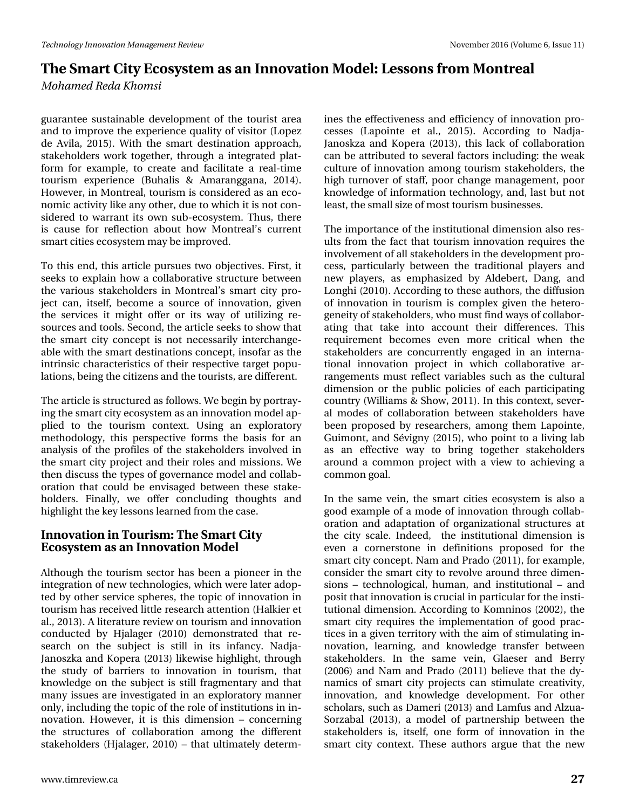## **The Smart City Ecosystem as an Innovation Model: Lessons from Montreal**

*Mohamed Reda Khomsi*

guarantee sustainable development of the tourist area and to improve the experience quality of visitor (Lopez de Avila, 2015). With the smart destination approach, stakeholders work together, through a integrated platform for example, to create and facilitate a real-time tourism experience (Buhalis & Amaranggana, 2014). However, in Montreal, tourism is considered as an economic activity like any other, due to which it is not considered to warrant its own sub-ecosystem. Thus, there is cause for reflection about how Montreal's current smart cities ecosystem may be improved.

To this end, this article pursues two objectives. First, it seeks to explain how a collaborative structure between the various stakeholders in Montreal's smart city project can, itself, become a source of innovation, given the services it might offer or its way of utilizing resources and tools. Second, the article seeks to show that the smart city concept is not necessarily interchangeable with the smart destinations concept, insofar as the intrinsic characteristics of their respective target populations, being the citizens and the tourists, are different.

The article is structured as follows. We begin by portraying the smart city ecosystem as an innovation model applied to the tourism context. Using an exploratory methodology, this perspective forms the basis for an analysis of the profiles of the stakeholders involved in the smart city project and their roles and missions. We then discuss the types of governance model and collaboration that could be envisaged between these stakeholders. Finally, we offer concluding thoughts and highlight the key lessons learned from the case.

#### **Innovation in Tourism: The Smart City Ecosystem as an Innovation Model**

Although the tourism sector has been a pioneer in the integration of new technologies, which were later adopted by other service spheres, the topic of innovation in tourism has received little research attention (Halkier et al., 2013). A literature review on tourism and innovation conducted by Hjalager (2010) demonstrated that research on the subject is still in its infancy. Nadja-Janoszka and Kopera (2013) likewise highlight, through the study of barriers to innovation in tourism, that knowledge on the subject is still fragmentary and that many issues are investigated in an exploratory manner only, including the topic of the role of institutions in innovation. However, it is this dimension – concerning the structures of collaboration among the different stakeholders (Hjalager, 2010) – that ultimately determ-

ines the effectiveness and efficiency of innovation processes (Lapointe et al., 2015). According to Nadja-Janoskza and Kopera (2013), this lack of collaboration can be attributed to several factors including: the weak culture of innovation among tourism stakeholders, the high turnover of staff, poor change management, poor knowledge of information technology, and, last but not least, the small size of most tourism businesses.

The importance of the institutional dimension also results from the fact that tourism innovation requires the involvement of all stakeholders in the development process, particularly between the traditional players and new players, as emphasized by Aldebert, Dang, and Longhi (2010). According to these authors, the diffusion of innovation in tourism is complex given the heterogeneity of stakeholders, who must find ways of collaborating that take into account their differences. This requirement becomes even more critical when the stakeholders are concurrently engaged in an international innovation project in which collaborative arrangements must reflect variables such as the cultural dimension or the public policies of each participating country (Williams & Show, 2011). In this context, several modes of collaboration between stakeholders have been proposed by researchers, among them Lapointe, Guimont, and Sévigny (2015), who point to a living lab as an effective way to bring together stakeholders around a common project with a view to achieving a common goal.

In the same vein, the smart cities ecosystem is also a good example of a mode of innovation through collaboration and adaptation of organizational structures at the city scale. Indeed, the institutional dimension is even a cornerstone in definitions proposed for the smart city concept. Nam and Prado (2011), for example, consider the smart city to revolve around three dimensions – technological, human, and institutional – and posit that innovation is crucial in particular for the institutional dimension. According to Komninos (2002), the smart city requires the implementation of good practices in a given territory with the aim of stimulating innovation, learning, and knowledge transfer between stakeholders. In the same vein, Glaeser and Berry (2006) and Nam and Prado (2011) believe that the dynamics of smart city projects can stimulate creativity, innovation, and knowledge development. For other scholars, such as Dameri (2013) and Lamfus and Alzua-Sorzabal (2013), a model of partnership between the stakeholders is, itself, one form of innovation in the smart city context. These authors argue that the new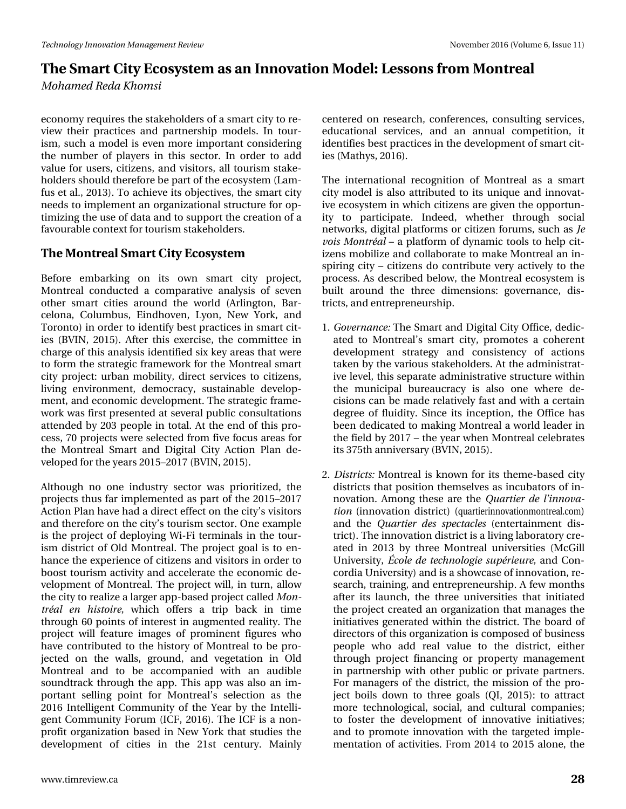# We have duw Fiw # fir v who tell validating a red wind of Proton Control and the proton of the red wind of Prkdpha#Uhad#Nkrpvl

hfrgrp | #tht xluhv#wkh#wdnhkroghuv#i#d#ypduw#lw|#w|#th0 yihz #wkhlu#sudfwlfhv#dqg#sduwqhuvkis#prghov1#Lq#wrxu0 lvp /#vxfk#d#prghc#lv#hyhq#pruh#lpsruwdqw#rqvlghulqj# wkh#qxpehu#ri#sod|huv#lq#wklv#vhfwru1#Lq#rughu#wr#dgg# ydoxh#ru#xvhuv/#lwl}hqv/#dqg#ylvlwruv/#doc#wrxulvp #vwdnh0 kroghuv#vkrxog#wkhuhiruh#eh#sduw#i#wkh#hfrv|w/mp#+Odp0 ix v# w#do /#5346, #A w #df klhyh# w #erhf wlyhv/# wk h# yp du w # lw # qhhgv#wr#psohphqw#dq#rujdql}dwlrqdo#wuxfwxuh#ru#rs0 who l}lqj#wkh#xvh#i#gdwd#dqg#wr#vxssruw#wkh#iuhdwlrq#i#d# idyr xude oh#r qwh {w#ru#wr xulvp #wodnhkroghuv1

### Wkh#Prqwuhdo#/pduw#Flw|#Hfrv|whp

Ehir uh# hp edunlqj # r q# lw# r z q# vp duw# f lw| # s ur nhf w/# Pr gwhdd#fr ggxf whg#d#fr psdudwlyh#dgdd vlv#ri#vhyhg# r wkhu#vp duw#flwhv#dur xqg#wkh#z ruog#+Dudqj wrq/#Edu0 f hor qd/#Fr  $\alpha p$  exv/#Hlqgkr yhq/#Q r q/#Qhz #\ r un/#dqg# W ur gw, #g# ughu#w #ghgwi| #ehw#sudf wf hv#g#yp duw#lw0 Ihv#HEYLQ/#5348,1#Divhu#wklv#h{huflvh/#wkh#frpplwwhh#lq# f k dujh# i #wklv#dqdojvlv#ghqwilhg#vl{#hh|#duhdv#wkdwezhuh# w # r up # wk h# wudvhj If # udp hz r un# r u# wk h# P r q wuhdd# yp duw# flw|#surnhfw#xuedq#preldw|/#gluhfw#vhuylfhv#wr#flwl}hqv/# dylqj#hqylurqphqw#ghprfudf|/#vxwodlqdedn#ghyhors0 phqw#dqq#hfrqrplf#ghyhorsphqw#Wkh#ww.dwhjlf#ludph0 z r un#z dv#luw#suhvhqwhg#dv#vhyhudd#sxedf#r qvxovdwlr qv# dwhaghg#e | #536#shrsch#lq#wrvdd#Dw#wkh#hag#ri#wklv#sur0 f hw/# 3#s ur rhf w#z huh#vhdnf whg# ur p #lyh#r f x v#duhdv#r u# wkh#Prqwuhdo#Vpduw#dqg#Gljlwdo#Flw|#Dfwlrq#Sodq#gh0 yhor shg#r u#k h# hduv#5348' 534: #EYLQ/#5348,1

Dowkr xj k#qr #r qh#lqgx wu #vhf wr u#z dv#s ulr uw} hg/#wkh# sur nhf w#wkxv#du#p sohp hqwhg#dv#sduw#i#wkh#5348' 534: # Dfwlrq#Sodq#kdyh#kdg#d#gluhfw#hiihfw#q#wkh#llw|\*v#ylvlwruv# dqg#wkhuhiruh#q#wkh#lw|\*v#wrxulvp#vhfwru1#Rqh#h{dpsoh# lv#wkh#surmhfw#ri#ghsor|lqj#Zl0ll#whuplqdov#lq#wkh#wrxu0 lvp #glvwulfw#ri#Rog#Prqwuhdo1#AWkh#surmhfw#jrdo#lv#wr#hq0 kdqfh#wkh#h{shulhqfh#ri#lwl}hqv#dqg#ylvlwruv#q#rughu#wr# errw#wrxulvp#dfwlylw|#dqg#dffhohudwh#wkh#hfrqrplf#gh0 yhorsp hqw#ri#Prqwuhdo1#AWkh#surmhfw#zloof#lq#wxuq/#doorz# wk h#lw #ww #uhdol} h#d#odujhu#dss0edvhg#surnhfw#doohg#Prq0 wuABG#hq#klwwluh/#zklfk#riihuv#d#wuls#edfn#lq#wlph# wkurxjk#93#srlqw#ri#lqwhuhw#lq#dxjphqwhg#uhdolw|1#AWkh# sur nhfw#z loo#ihdwsuh#lp dj hv#ri#surp lqhqw#ilj xuhv#z kr# k dyh#frqwulex whg#wr#wkh#klwwru|#ri#Prqwuhdo#wr#eh#sur0 mhfwhg#rq#wkh#zdoov/#jurxqg/#dqg#yhjhwdwlrq#lq#Rog# Prgwhdo#dgg#wr#eh#dffrpsdglhg#zlwk#dg#dxgleoh# vr xqgwdf n#wk ur xj k#wk h#dss#AWk lv#dss#z dv#dovr#dq#lp 0 sruwdqw#vhoolgj#srlqw#iru#Prqwuhdo\*v#vhohfwlrq#dv#wkh# 5349#Lqwhooljhqw#Frppxqlw|#ri#wkh#\hdu#e|#wkh#Lqwhool0 jhqw#Frppxqlw|#lruxp#+LFl/#5349,1#Wkh#LFl#lv#d#qrq0 surilwhiujdql}dwirq#edvhg#lq#Qhz#\run#wkdw#wxglhv#wkh# ghyhorsphqw#ri#flwhv#lq#wkh#54vw#fhqwxu|1#Pdlqo|#

f hqwhuhg#r q#uhvhduf k/#f r qihuhqf hv/#f r qvx owlqj #vhuylf hv/# hgxf dw'r gdd#vhuylf hv/#dgg#dg#dggxdd#frp shwwlr g/#lw# lghqwilhv#ehvwsudfwfhv#q#wkh#ghyhorsphqw#i#vpduw#lw0 Ihv#P dvk | v/#5349,1

Wikh#Iqwhuqdwirqdd#uhfrjqIwlrq#ri#Prqwuhdd#dv#d#vpduw# flw #prghc#lv#dovr#dwwdexwhg#wr#lw#xqltxh#dqg#lqqrydw0 lyh#hfrv|vwhp#q#zklfk#llwl}hqv#duh#llyhq#wkh#ssruwxq0 lw|#w|#sduwlflsdwh1#Lqghhg/#zkhwkhu#wkurxjk#vrfldc# qhwz runv/#gljlwdo#sodwirup v#ru#llwl}hq#lruxp v/#vxfk#dv#Mw# yrlv#Prqwu4Bc##d#sodwirup#ri#g|qdplf#wrrov#wr#khos#flw0 l}hqv#preld}h#dqg#frooderudwh#wr#pdnh#Prqwuhdo#dq#q0 vsluigi#lwi##lw}hqv#gr#frqwulexwh#yhu|#dfwlyho|#wr#wkh# sur f hw#Dv#ghvf ulehg#ehor z /#wkh#P r qwuhdo#hf r v| whp #v# exlow#durxqg#wkh#wkuhh#glphqvlrqv#jryhuqdqfh/#glv0 wdf w/#dqg#hqwhsuhqhxuvkls1

- 4 #U r yhuqdqf h=# Wk h# /p duw#dqg#Gljlwdd Flw #Riilfh /#ghglf 0 dwhg#wr#Prqwuhdo\*v#vpduw#flwl/#surprwhv#d#frkhuhqw# ghyhorsphqw#ww.dwhj|#dqg#frqvlwwhqf|#ri#dfwlrqv# volnhq#e|#wkh#ydulrxv#wolnhkroghuv#Dw#wkh#dgplqlvwudw0 lyh#bhyhd#wklv#vhsdudwh#dgplqlwudwlyh#wuxfwxuh#zlwklq# wkh#pxqlflsdo#exuhdxfudf|#lv#dovr#rqh#zkhuh#gh0 flvir gy#dg#eh#pdgh#uhodwlyho|#dw#dgg#zlwk#d#fhuwdlg# ghj uhh#ri#ioxlglw|#Mqfh#lw#lqfhswlrq/#wkh#Riilfh#kdv# ehhq#ghglfdwhg#wr#pdnlqj#Prqwuhdd#d#zruog#bhdghu#lq# wkh#lhog#e|#534:##wkh#hdu#zkhq#Prqwuhdo#hdneudwhv# Iw#6: 8wk#dqqIyhuvdu #EYLQ/#5348,1
- 51#Glwulfw=#Prqwuhdd#v#nqrzq#iru#w#wkhph0edvhg#llw|# glwulfw#wkdwksrvlwlrq#wkhpvhoyhv#dv#lqfxedwruv#ri#lq0 qrydw'r q 1#Dp r qj #wk hvh#duh#wk h#Tx duwlhu#gh#o\*lqqryd0 whrq#+lqqrydwhrq#glvwulfw;#+txduwhulqqrydwhqprqwuhdoffrp,# dgg#wkh#Txduwhu#ghw#vshfwdfdnv#+hqwhuvdlgphqw#glv0 wulfw,144Wk.h#qqrydwlrq#glvwulfw#v#d#olylqj#oderudwrul#luh0 dwhg#lq#5346#e|#wkuhh#Prqwuhdd#xqlyhuvlwhv#+PfJloo# Xqlyhuvlw//#24rdn#gh#whfkqrorjlh#vxsABlhxuh/#dqg#Frq0 frugld#Xqlyhuvlw|,#dqg#v#d#vkrzfdvh#i#qqrydwlrq/#uh0 vhdufk/#wudlqlqj/#dqg#hqwuhsuhqhxuvkls1#D#hz#prqwkv# divhu#lw#odxqfk/#vkh#vkuhh#xqlyhuvlwhv#vkdv#lqlwdwhg# wk h#s ur mhf w# uhdwhg#dq#r uj dql}dwlr q#wk dw#p dqdj hv#wk h# lqlwdwlyhv#jhqhudwhg#zlwklq#wkh#glvwulfw#AWkh#erdug#ri# gluhfwruw#i#wklv#ujdql}dwlrq#lv#frpsrvhg#i#exvlqhvv# shr soh#z kr #dgg#uhdo#ydoxh#wr #wkh#glwulfw#hlwkhu# wkur xj k#sur mlfw#ilqdqflqj#ru#sur shuw|#pdqdjhphqw# lq#sduvqhuvkls#zlvk#rwkhu#sxedf#ru#sulydvh#sduvqhuv1# Iru#pdqdjhuv#ri#wkh#glvwulfw#wkh#plvvlrq#ri#wkh#sur0 rhfw#erlov#grzq#wr#wkuhh#jrdov#+TL/#5348,#wr#dwwdfw# pruh#whfkqrorjlfdo/#vrfldo/#dqg#fxowsudo#frpsdqlhv=# wr#irwhu#wkh#ghyhorsphqw#ri#lqqrydwlyh#lqlwldwlyhv=# dqg#wr#surprwh#lqqrydwlrq#zlwk#wkh#wdujhwhg#lpsoh0 p hqvdwlr q#ri#dfwlylwhv#l urp #5347#wr#5348#dorqh/#wkh#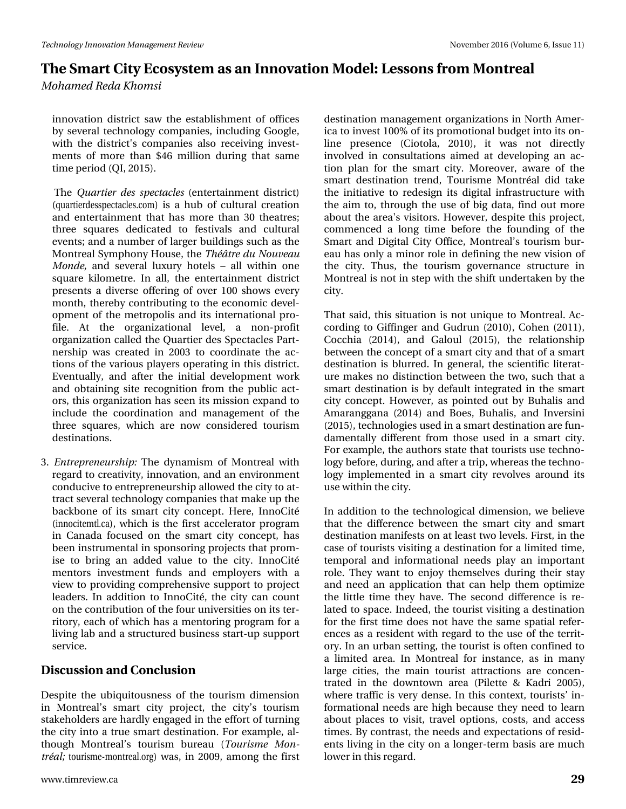## We have duw Fiw # fir v who tell validating a red wind of Proton Control and the proton of the red wind of Prkdpha#Uhad#Nkrpvl

lggrydwr g#glywulfw#vdz#wkh#hywdeolykphgw#ri#riilfhy# e|#vhyhudd#whfkqrorj|#frpsdqlhv/#lqfoxglqj#Jrrjoh/# zlwk#wkh#glvwulfwSv#frpsdqlhv#dovr#uhfhlylqj#lqyhvw0 p hqw#ri#p ruh#wkdq#'79#plootrq#gxulqj#wkdw#vdph# whp h#shulr g#T L/#5348,1

- ###Wkh#Txduwhu#ghv#vshfwdfdnv#+hqwhuvdlgphqw#glvvulfw# #xdu/hughwshfwdfdhvffp,#lv#d#kxe#ri#fxowsudd#uhdwlrq# dqg#hqvhuvdlqp hqv#vkdv#kdv#pruh#vkdq#63#vkhdvuhv=# wk uhh#vt x duhv#ghglfdwhg#wr#ihvwlydov#dqg#fxowxudo# hyhqwo#dqg#d#qxpehu#ri#odujhu#exloglqjv#vxfk#dv#wkh# Prqwuhdo4M|pskrq|#Krxvh/#wkh#WkAÉwuh#gx#Qrxyhdx# Prggh/#dgg#vhyhudo#ox{xu|#krwhov#"#doo#zlwklq#rqh# vt x duh#nlorp hwuh1#Lq#doo/#wkh#hqwhuwdlqp hqw#glwwulfw# suhvhqw#d#glyhuvh#riihulqj#ri#ryhu#433#vkrzv#hyhul# prqwk/#wkhuhe|#frqwulexwlqj#wr#wkh#hfrqrplf#ghyho0 rsphqw#ri#wkh#phwursrolv#dqg#lww#lqwhuqdwlrqdo#sur0 iloht#Dw#wkh#rujdql}dwlrqdo#ohyho/#d#qrq0surilw# r uj dql}dwir q#doohg#wkh#Txduwihu#ghv#Vshfwdfohv#Sduw0 qhuvkls#z dv#fuhdvhg#lq#5336#wr#frruglqdvh#vkh#df0 wtrqv#ri#wkh#ydulrxv#sod|huv#rshudwlqj#lq#wklv#glvwulfw1# Hyhqwxdool /#dqg#divhu#wkh#lqlwldo#ghyhorsphqw#zrun# dqg#rewdlqlqj#vlwh#uhfrjqlwlrq#iurp#wkh#sxeolf#dfw0 r w/#wklv#rujdql}dwlrq#kdv#vhhq#tw#plvvlrq#h{sdqg#wr# lqf oxgh#wkh#frruglqdwlrq#dqg#pdqdjhphqw#ri#wkh# wkuhh#vt xduhv/#z klfk#duh#qrz#frqvlghuhg#wrxulvp# ghwligdwr gv1
- 61#Hqwuhsuhqhxuwkls=#Wkh#g|qdplvp#ri#Prqwuhdo#zlwk# uhj dug#wr#uhdwlylw|/#qqrydwrq/#dqg#dq#hqylurqphqw# frqgxflyh#wr#hqwuhsuhqhxuvkls#doorzhg#wkh#flw|#wr#dw0 wudfw#vhyhudo#whfkqrorj|#frpsdqlhv#wkdw#pdnh#xs#wkh# edfnerqh#ri#lww#vpduw#flw|#frqfhsw1#Khuh/#LqqrFlw4#E +lqqrflwhpwofd, /#zklfk:#lv#wkh#lluww#dffhohudwru#surjudp# lq#Fdqdgd#irfxvhg#rq#wkh#vpduw#flw|#frqfhsw#kdv# ehhq#qvwuxphqwdd#q#vsrqvrulqj#surmhfw#wkdw#surp0 lvh#wr#eulgj#dg#dgghg#ydoxh#wr#wkh#flw|#LggrFlw## p hqw w#lqyhwp hqw#ixqgv#dqg#hp sor | hw#z lwk#d# ylhz#wr#surylglqj#frpsuhkhqvlyh#vxssruw#wr#surmhfw# ohdghuv1#Lq#dgglwlrq#wr#LqqrFlw4##xkh#flwl#fdq#frxqw# rq#wkh#frqwulexwlrq#ri#wkh#rxu#xqlyhuvlwlhv#q#ww#whu0 ulwru|/#hdfk#ri#zklfk#kdv#d#phqwrulqj#surjudp#iru#d# dylqj#ode#dqg#d#wuxfwxuhg#exvlqhw#woduw0xs#vxssruw# vhuylf h1

### Glvf x wlr g#dgg#Fr gf ox vlr g#

Ghvslwh#wkh#xeltxlwrxvqhvv#ri#wkh#wrxulvp#glphqvlrq# lq#Prqwuhdo\*v#vpduw#flw|#surmhfw#wkh#flw|\*v#wrxulvp# wdnhkroghuv#duh#kdugo|#hqjdjhg#q#wkh#hiiruw#i#wxuqlqj# wkh#llwl#qwr#d#wuxh#ypduw#ghvwlqdwlrq1#lru#h{dpsoh/#do0  $w$ krxjk#Prqwuhdo\*v#wrxulvp#exuhdx#+Wrxulvph#Prq0 ww4Bos#wrxulvph0prqwuhdofruj,#zdv/#lq#533</#dprqj#wkh#lluww#

ghwlgdwr g#p dgdj hp hgw# yj dgl}dwr gy#g#Qr wk#Dp hu0 If d#wr#qyhw#433(#ri#w#surprwlrqdd#exgjhw#qwr#w#rq0  $dq$ h# suhvhqf h# + Flrwr od/#5343,/#lw# z dv# qrw# gluhfwo|# lgyr gyhg#lq#fr gyx ordwr gy#dlp hg#dw#ghyhor sigj#dq#df0 whr q#sodq#iru#wkh#vp duw#flw|#Pruhryhu/#dz duh#ri#wkh# vp dw#ghwlgdwlr g#wuhgg/#Wrxulvp h#Prgwu4Bd#glg#wdnh# wkh#lqlwdwlyh#wr#uhghvljq#lw#gljlwdd#lqiudvwuxfwxuh#zlwk# wkh#dlp#ww/#wkurxjk#wkh#xvh#ri#elj#gdwd/#ilgg#rxw#pruh# der xww.kh#duhd\$v#ylvlwruv#Krzhyhu/#ghvslvh#wklv#surmhfw# frpp hqfhg#d#orqj#wlph#ehiruh#wkh#irxqglqj#ri#wkh# Vp duw#dqg#Gljlwdc#Flw|#Riilfh/#Prqwuhdo\*v#wrxulvp#exu0 hdx#kdv#rqq #d#plqru#urch#q#ghilqlqj#wkh#qhz#ylvlrq#ri#  $w$ k h#flw #Wkxv/#wk h#wrxulvp #jryhuqdqfh#wwxfwxuh#lq# Prqwuhdd#v#qrw#q#whs#zlwk#wkh#vkliw#xqghuwdnhq#e|#wkh#  $f \mid \psi \mid$ 

Wkdw#vdlg/#wklv#vlwxdwlrq#lv#qrw#xqltxh#wr#Prqwuhdo1#Df0 fruglgj#wr#Jliilgjhu#dgg#Jxguxg#+5343,/#Frkhg#+5344,/#  $Frffkldt + 5347$ , /#dqg#Jdorxo#+5348, /#wkh#uhodwirqvkls# ehvz hhq#wkh#frqfhsw#i#d#vpduw#lw|#dqg#wkdw#i#d#vpduw# ghwligdwr g#v#eoxuung#Lg#j hqhudd#wkh#vflhqwilf#dwhudw0 x uhttp dnhvttqr ttgl wildf vir qtte hvz hhqt wikhttvz r/ttvxfk tikk dvitdtt vp duwighwigdwr g#v#el#ghidxow#gwhjudwhg#lg#wkh#vp duw# flw/#frqfhsw1#Krzhyhu/#dv#srlqwhg#rxw#el#Exkdolv#dqg# Dp dudqj j dqd#+5347,#dqg#Er hv/#Exkddv/#dqg#Lqyhuvlql# +5348,/#Mnfkgrorjlhv#xvhg#q#d#vpduw#ghvwlgdwlrq#duh#xq0 gdp hqwdod #gliihuhqw#iurp #wkrvh#xvhg#lq#d#vp duw#flw| ## Iru#h{dpsdn/#wkh#dxwkruv#wodwh#wkdw#wrxulvw#xvh#whfkqr0 oril#ehiruh/#gxulqi/#dqg#divhu#d#wuls/#zkhuhdv#wkh#whfkqr0 σ i | #lp sohp hqwhg#lq#d#vp duw#flw|#uhyroyhv#durxqg#lw# x vh# l vk l q # k h# l w 1#

Lq#dgglwrq#wr#wkh#whfkqrorjlfdo#glphqvlrq/#zh#eholhyh# wk dw#wk h#gliihuhqf h#ehwz hhq#wk h#vp duw#flw|#dqg#vp duw# ghwlgdwr g#p dglihww#g#dw#bdw#wzr#blyhov"#luw#lg#wkh# f dvh# i#w x ulww#ylvlwlqj#d#ghwwlqdwlrq#lru#d#blp lwhg#wlp h/# whp srudd#dqg#lqirup dwtrqdd#qhhqv#sod|#dq#lp sruwdqw# ur oht#Wkh|#z dqw#wr#hqm|#wkhp vhoyhv#gxulqj#wkhlu#wd|# dqg#qhhg#dq#dssdfdwrq#wkdw#fdq#khos#wkhp#rswlpl}h# wkh#dwoth#wlph#wkh|#kdyh1#Wkh#vhfrqg#gliihuhqfh#lv#uh0 odwhg#wr#vsdfh1#Lqghhg/#wkh#wrxulvw#ylvlwlqj#d#ghwlvqdwlrq# ir u#wkh#lluw#wlph#grhv#qrw#kdyh#wkh#vdph#vsdwldd#uhihu0 hqf hv#dv#d#uhvlghqw#z lwk#uhjdug#wr#wkh#xvh#ri#wkh#whuulv0 ru|#Lq#dq#xuedq#vhwwlqj/#wkh#wrxulvw#lv#riwhq#frqilqhg#wr# d#dplwhg#duhd1#Lg#Prqwuhdd#iru#lqwodqfh/#dv#lq#pdql# ody h#flwhv/#wkh#pdlq#wrxulw#dww.dfwlrqv#duh#frqfhq0 wdwhg#lq#wkh#grzqwrzq#duhd#+Slohwwh#) #Ndgu#5338,/# z khuh#wudiilf#lv#yhu|#ghqvh1#Lq#wklv#frqwh{w#wrxulvw\*#lq0 ir up dwir qdo#qhhgv#duh#kljk#ehfdxvh#wkh|#qhhg#wr#ohduq# der xwisodf hv#wr#ylvlw/#wudyho#rswlrqv/#frww/#dqg#dffhw# who hv#E|#frqwdw##kh#ghhgv#dqg#h{shfwdwlrqv#ti#uhvlg0 hqw#blylqi#lq#wkh#flw|#rq#d#brqihu0whup#edvlv#duh#pxfk# or z hu#q#wklv#uhj dug1#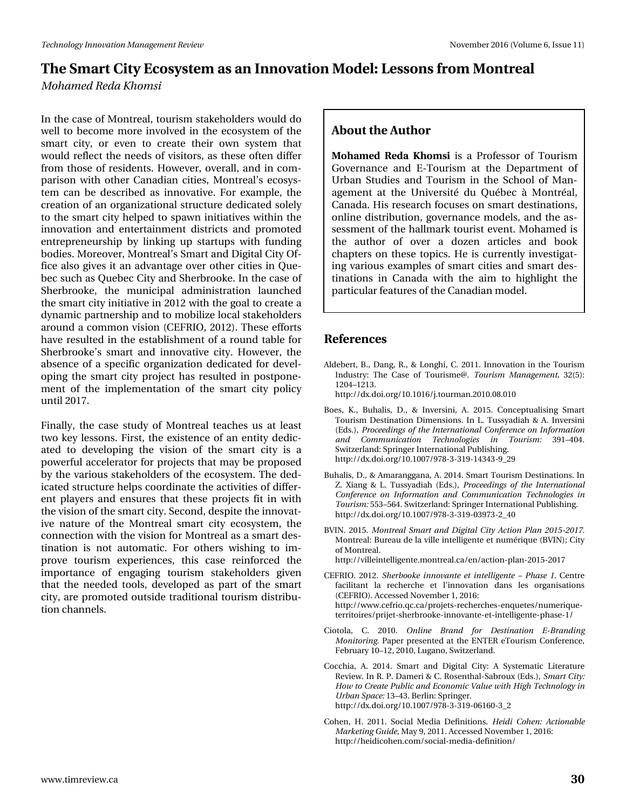# **The Smart City Ecosystem as an Innovation Model: Lessons from Montreal**

*Mohamed Reda Khomsi*

In the case of Montreal, tourism stakeholders would do well to become more involved in the ecosystem of the smart city, or even to create their own system that would reflect the needs of visitors, as these often differ from those of residents. However, overall, and in comparison with other Canadian cities, Montreal's ecosystem can be described as innovative. For example, the creation of an organizational structure dedicated solely to the smart city helped to spawn initiatives within the innovation and entertainment districts and promoted entrepreneurship by linking up startups with funding bodies. Moreover, Montreal's Smart and Digital City Office also gives it an advantage over other cities in Quebec such as Quebec City and Sherbrooke. In the case of Sherbrooke, the municipal administration launched the smart city initiative in 2012 with the goal to create a dynamic partnership and to mobilize local stakeholders around a common vision (CEFRIO, 2012). These efforts have resulted in the establishment of a round table for Sherbrooke's smart and innovative city. However, the absence of a specific organization dedicated for developing the smart city project has resulted in postponement of the implementation of the smart city policy until 2017.

Finally, the case study of Montreal teaches us at least two key lessons. First, the existence of an entity dedicated to developing the vision of the smart city is a powerful accelerator for projects that may be proposed by the various stakeholders of the ecosystem. The dedicated structure helps coordinate the activities of different players and ensures that these projects fit in with the vision of the smart city. Second, despite the innovative nature of the Montreal smart city ecosystem, the connection with the vision for Montreal as a smart destination is not automatic. For others wishing to improve tourism experiences, this case reinforced the importance of engaging tourism stakeholders given that the needed tools, developed as part of the smart city, are promoted outside traditional tourism distribution channels.

#### **About the Author**

**Mohamed Reda Khomsi** is a Professor of Tourism Governance and E-Tourism at the Department of Urban Studies and Tourism in the School of Management at the Université du Québec à Montréal, Canada. His research focuses on smart destinations, online distribution, governance models, and the assessment of the hallmark tourist event. Mohamed is the author of over a dozen articles and book chapters on these topics. He is currently investigating various examples of smart cities and smart destinations in Canada with the aim to highlight the particular features of the Canadian model.

#### **References**

- Aldebert, B., Dang, R., & Longhi, C. 2011. Innovation in the Tourism Industry: The Case of Tourisme@. *Tourism Management,* 32(5): 1204–1213.
	- http://dx.doi.org/10.1016/j.tourman.2010.08.010
- Boes, K., Buhalis, D., & Inversini, A. 2015. Conceptualising Smart Tourism Destination Dimensions. In L. Tussyadiah & A. Inversini (Eds.), *Proceedings of the International Conference on Information and Communication Technologies in Tourism:* 391–404. Switzerland: Springer International Publishing. http://dx.doi.org/10.1007/978-3-319-14343-9\_29
- Buhalis, D., & Amaranggana, A. 2014. Smart Tourism Destinations. In Z. Xiang & L. Tussyadiah (Eds.), *Proceedings of the International Conference on Information and Communication Technologies in Tourism:* 553–564. Switzerland: Springer International Publishing. http://dx.doi.org/10.1007/978-3-319-03973-2\_40
- BVIN. 2015. *Montreal Smart and Digital City Action Plan 2015-2017.* Montreal: Bureau de la ville intelligente et numérique (BVIN); City of Montreal.
	- http://villeintelligente.montreal.ca/en/action-plan-2015-2017
- CEFRIO. 2012. *Sherbooke innovante et intelligente – Phase 1.* Centre facilitant la recherche et l'innovation dans les organisations (CEFRIO). Accessed November 1, 2016: http://www.cefrio.qc.ca/projets-recherches-enquetes/numeriqueterritoires/prijet-sherbrooke-innovante-et-intelligente-phase-1/
- Ciotola, C. 2010. *Online Brand for Destination E-Branding Monitoring.* Paper presented at the ENTER eTourism Conference, February 10–12, 2010, Lugano, Switzerland.
- Cocchia, A. 2014. Smart and Digital City: A Systematic Literature Review. In R. P. Dameri & C. Rosenthal-Sabroux (Eds.), *Smart City: How to Create Public and Economic Value with High Technology in Urban Space:* 13–43. Berlin: Springer. http://dx.doi.org/10.1007/978-3-319-06160-3\_2
- Cohen, H. 2011. Social Media Definitions. *Heidi Cohen: Actionable Marketing Guide,* May 9, 2011. Accessed November 1, 2016: http://heidicohen.com/social-media-definition/